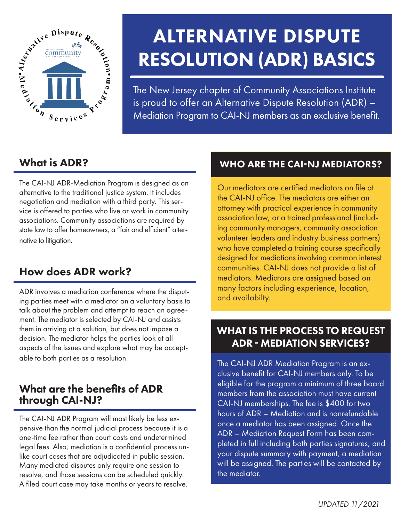

# ALTERNATIVE DISPUTE RESOLUTION (ADR) BASICS

The New Jersey chapter of Community Associations Institute is proud to offer an Alternative Dispute Resolution (ADR) – Mediation Program to CAI-NJ members as an exclusive benefit.

# What is ADR?

The CAI-NJ ADR-Mediation Program is designed as an alternative to the traditional justice system. It includes negotiation and mediation with a third party. This service is offered to parties who live or work in community associations. Community associations are required by state law to offer homeowners, a "fair and efficient" alternative to litigation.

## How does ADR work?

ADR involves a mediation conference where the disputing parties meet with a mediator on a voluntary basis to talk about the problem and attempt to reach an agreement. The mediator is selected by CAI-NJ and assists them in arriving at a solution, but does not impose a decision. The mediator helps the parties look at all aspects of the issues and explore what may be acceptable to both parties as a resolution.

## What are the benefits of ADR through CAI-NJ?

The CAI-NJ ADR Program will most likely be less expensive than the normal judicial process because it is a one-time fee rather than court costs and undetermined legal fees. Also, mediation is a confidential process unlike court cases that are adjudicated in public session. Many mediated disputes only require one session to resolve, and those sessions can be scheduled quickly. A filed court case may take months or years to resolve.

## WHO ARE THE CAI-NJ MEDIATORS?

Our mediators are certified mediators on file at the CAI-NJ office. The mediators are either an attorney with practical experience in community association law, or a trained professional (including community managers, community association volunteer leaders and industry business partners) who have completed a training course specifically designed for mediations involving common interest communities. CAI-NJ does not provide a list of mediators. Mediators are assigned based on many factors including experience, location, and availabilty.

## WHAT IS THE PROCESS TO REQUEST ADR - MEDIATION SERVICES?

The CAI-NJ ADR Mediation Program is an exclusive benefit for CAI-NJ members only. To be eligible for the program a minimum of three board members from the association must have current CAI-NJ memberships. The fee is \$400 for two hours of ADR – Mediation and is nonrefundable once a mediator has been assigned. Once the ADR – Mediation Request Form has been completed in full including both parties signatures, and your dispute summary with payment, a mediation will be assigned. The parties will be contacted by the mediator.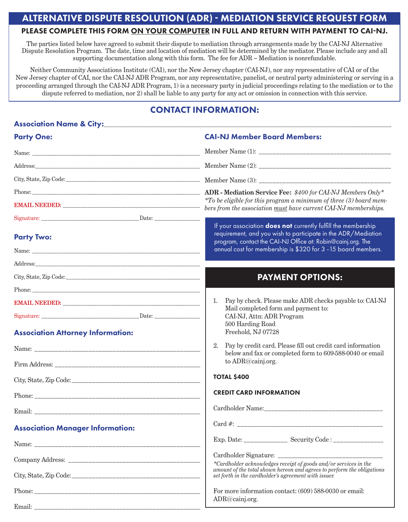#### ALTERNATIVE DISPUTE RESOLUTION (ADR) - MEDIATION SERVICE REQUEST FORM

#### PLEASE COMPLETE THIS FORM ON YOUR COMPUTER IN FULL AND RETURN WITH PAYMENT TO CAI-NJ.

The parties listed below have agreed to submit their dispute to mediation through arrangements made by the CAI-NJ Alternative Dispute Resolution Program. The date, time and location of mediation will be determined by the mediator. Please include any and all supporting documentation along with this form. The fee for ADR – Mediation is nonrefundable.

Neither Community Associations Institute (CAI), nor the New Jersey chapter (CAI-NJ), nor any representative of CAI or of the New Jersey chapter of CAI, nor the CAI-NJ ADR Program, nor any representative, panelist, or neutral party administering or serving in a proceeding arranged through the CAI-NJ ADR Program, 1) is a necessary party in judicial proceedings relating to the mediation or to the dispute referred to mediation, nor 2) shall be liable to any party for any act or omission in connection with this service.

### CONTACT INFORMATION:

| <b>Party One:</b>                        | <b>CAI-NJ Member Board Members:</b>                                                                                                                                                                |
|------------------------------------------|----------------------------------------------------------------------------------------------------------------------------------------------------------------------------------------------------|
|                                          |                                                                                                                                                                                                    |
|                                          |                                                                                                                                                                                                    |
|                                          |                                                                                                                                                                                                    |
|                                          | $*$ To be eligible for this program a minimum of three (3) board mem-                                                                                                                              |
|                                          | bers from the association must have current CAI-NJ memberships.                                                                                                                                    |
|                                          | If your association <b>does not</b> currently fulfill the membership                                                                                                                               |
| <b>Party Two:</b>                        | requirement, and you wish to participate in the ADR/Mediation<br>program, contact the CAI-NJ Office at: Robin@cainj.org. The                                                                       |
|                                          | annual cost for membership is \$320 for 3 - 15 board members.                                                                                                                                      |
|                                          |                                                                                                                                                                                                    |
|                                          | <b>PAYMENT OPTIONS:</b>                                                                                                                                                                            |
|                                          |                                                                                                                                                                                                    |
|                                          | Pay by check. Please make ADR checks payable to: CAI-NJ<br>1.<br>Mail completed form and payment to:                                                                                               |
|                                          | CAI-NJ, Attn: ADR Program<br>500 Harding Road                                                                                                                                                      |
| <b>Association Attorney Information:</b> | Freehold, NJ 07728                                                                                                                                                                                 |
|                                          | Pay by credit card. Please fill out credit card information<br>2.                                                                                                                                  |
|                                          | below and fax or completed form to 609-588-0040 or email<br>to ADR@cainj.org.                                                                                                                      |
|                                          | <b>TOTAL \$400</b>                                                                                                                                                                                 |
|                                          | <b>CREDIT CARD INFORMATION</b>                                                                                                                                                                     |
|                                          |                                                                                                                                                                                                    |
| <b>Association Manager Information:</b>  |                                                                                                                                                                                                    |
|                                          |                                                                                                                                                                                                    |
|                                          |                                                                                                                                                                                                    |
|                                          | *Cardholder acknowledges receipt of goods and/or services in the<br>amount of the total shown hereon and agrees to perform the obligations<br>set forth in the cardholder's agreement with issuer. |
|                                          | For more information contact: (609) 588-0030 or email:                                                                                                                                             |
|                                          | ADR@cainj.org.                                                                                                                                                                                     |